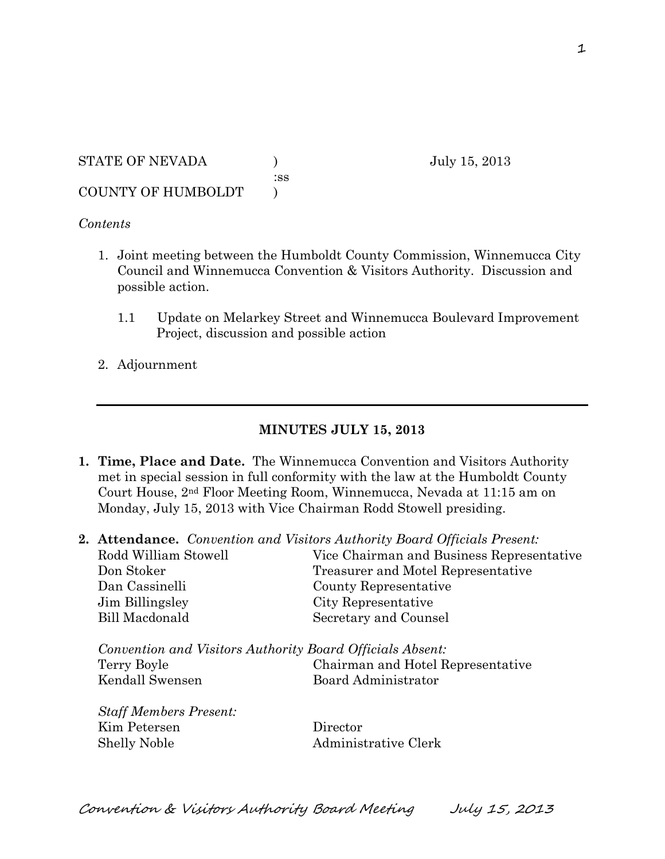STATE OF NEVADA ) July 15, 2013 :ss COUNTY OF HUMBOLDT )

## *Contents*

- 1. Joint meeting between the Humboldt County Commission, Winnemucca City Council and Winnemucca Convention & Visitors Authority. Discussion and possible action.
	- 1.1 Update on Melarkey Street and Winnemucca Boulevard Improvement Project, discussion and possible action
- 2. Adjournment

## **MINUTES JULY 15, 2013**

- **1. Time, Place and Date.** The Winnemucca Convention and Visitors Authority met in special session in full conformity with the law at the Humboldt County Court House, 2nd Floor Meeting Room, Winnemucca, Nevada at 11:15 am on Monday, July 15, 2013 with Vice Chairman Rodd Stowell presiding.
- **2. Attendance.** *Convention and Visitors Authority Board Officials Present:*

| Rodd William Stowell                                                                        | Vice Chairman and Business Representative                |
|---------------------------------------------------------------------------------------------|----------------------------------------------------------|
| Don Stoker                                                                                  | Treasurer and Motel Representative                       |
| Dan Cassinelli                                                                              | County Representative                                    |
| Jim Billingsley                                                                             | City Representative                                      |
| Bill Macdonald                                                                              | Secretary and Counsel                                    |
| Convention and Visitors Authority Board Officials Absent:<br>Terry Boyle<br>Kendall Swensen | Chairman and Hotel Representative<br>Board Administrator |
| <b>Staff Members Present:</b>                                                               |                                                          |
| Kim Petersen                                                                                | Director                                                 |
| <b>Shelly Noble</b>                                                                         | Administrative Clerk                                     |

Convention & Visitors Authority Board Meeting July 15, 2013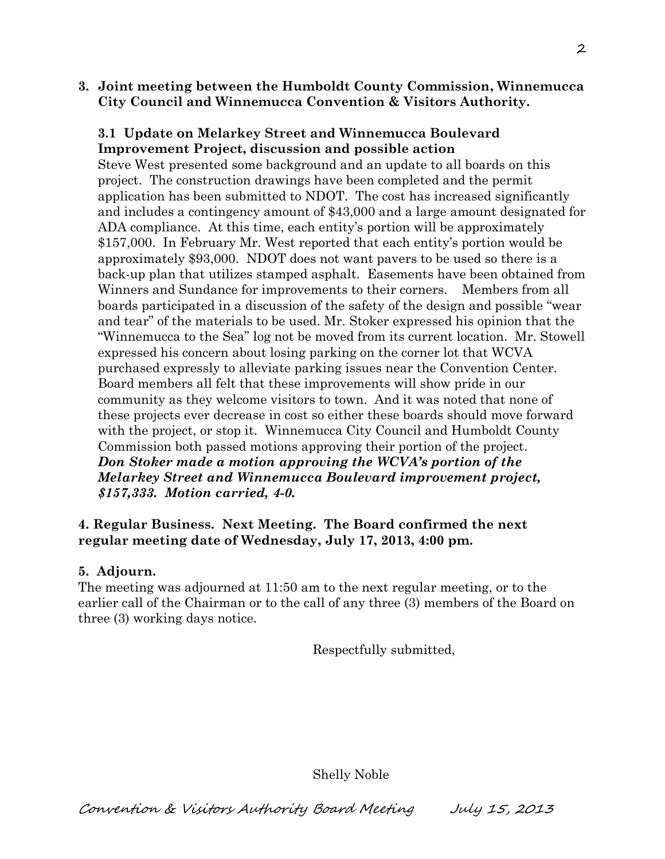**3. Joint meeting between the Humboldt County Commission, Winnemucca City Council and Winnemucca Convention & Visitors Authority.** 

# **3.1 Update on Melarkey Street and Winnemucca Boulevard Improvement Project, discussion and possible action**

Steve West presented some background and an update to all boards on this project. The construction drawings have been completed and the permit application has been submitted to NDOT. The cost has increased significantly and includes a contingency amount of \$43,000 and a large amount designated for ADA compliance. At this time, each entity's portion will be approximately \$157,000. In February Mr. West reported that each entity's portion would be approximately \$93,000. NDOT does not want pavers to be used so there is a back-up plan that utilizes stamped asphalt. Easements have been obtained from Winners and Sundance for improvements to their corners. Members from all boards participated in a discussion of the safety of the design and possible "wear and tear" of the materials to be used. Mr. Stoker expressed his opinion that the "Winnemucca to the Sea" log not be moved from its current location. Mr. Stowell expressed his concern about losing parking on the corner lot that WCVA purchased expressly to alleviate parking issues near the Convention Center. Board members all felt that these improvements will show pride in our community as they welcome visitors to town. And it was noted that none of these projects ever decrease in cost so either these boards should move forward with the project, or stop it. Winnemucca City Council and Humboldt County Commission both passed motions approving their portion of the project. *Don Stoker made a motion approving the WCVA's portion of the Melarkey Street and Winnemucca Boulevard improvement project, \$157,333. Motion carried, 4-0.*

# **4. Regular Business. Next Meeting. The Board confirmed the next regular meeting date of Wednesday, July 17, 2013, 4:00 pm.**

# **5. Adjourn.**

The meeting was adjourned at 11:50 am to the next regular meeting, or to the earlier call of the Chairman or to the call of any three (3) members of the Board on three (3) working days notice.

Respectfully submitted,

Shelly Noble

Convention & Visitors Authority Board Meeting July 15, 2013